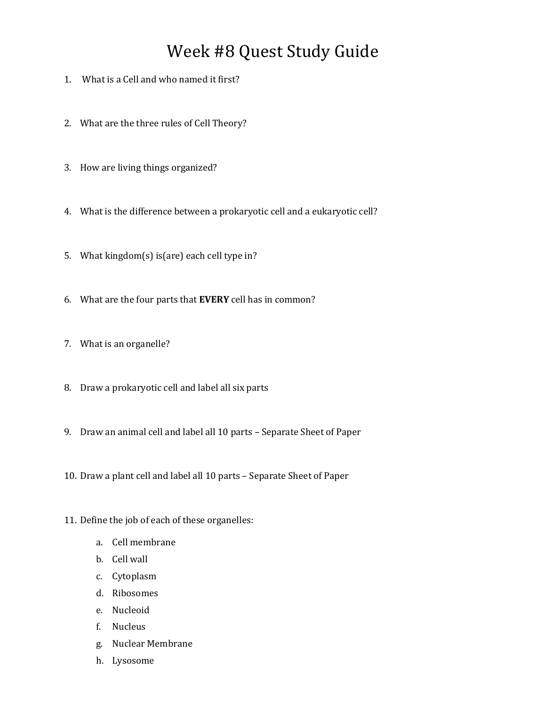## Week #8 Quest Study Guide

- 1. What is a Cell and who named it first?
- 2. What are the three rules of Cell Theory?
- 3. How are living things organized?
- 4. What is the difference between a prokaryotic cell and a eukaryotic cell?
- 5. What kingdom(s) is(are) each cell type in?
- 6. What are the four parts that **EVERY** cell has in common?
- 7. What is an organelle?
- 8. Draw a prokaryotic cell and label all six parts
- 9. Draw an animal cell and label all 10 parts Separate Sheet of Paper
- 10. Draw a plant cell and label all 10 parts Separate Sheet of Paper
- 11. Define the job of each of these organelles:
	- a. Cell membrane
	- b. Cell wall
	- c. Cytoplasm
	- d. Ribosomes
	- e. Nucleoid
	- f. Nucleus
	- g. Nuclear Membrane
	- h. Lysosome